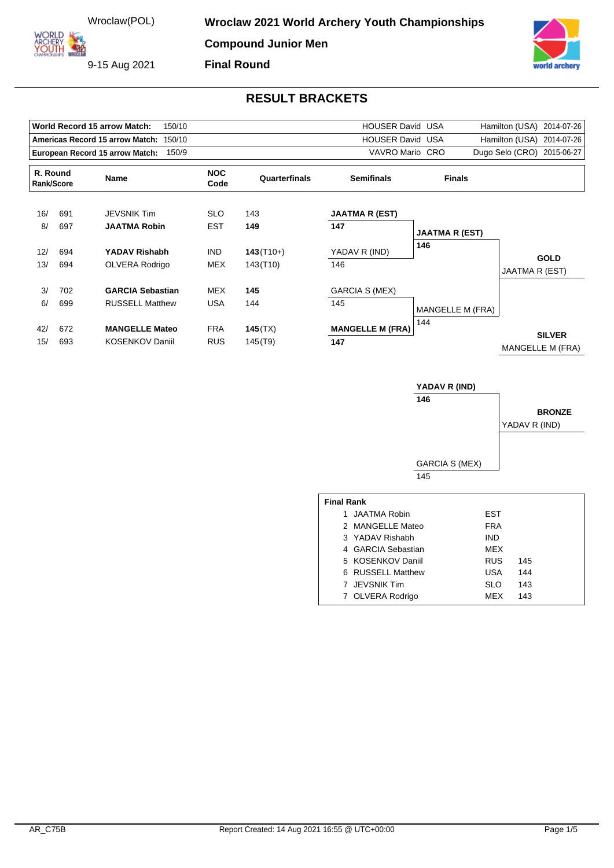ORLD ARCHERY

9-15 Aug 2021



|                                                                   |     | World Record 15 arrow Match:<br>150/10   |               |                                    | <b>HOUSER David USA</b> | Hamilton (USA)<br>2014-07-26 |                                   |
|-------------------------------------------------------------------|-----|------------------------------------------|---------------|------------------------------------|-------------------------|------------------------------|-----------------------------------|
| <b>HOUSER David USA</b><br>Americas Record 15 arrow Match: 150/10 |     |                                          |               |                                    |                         |                              | Hamilton (USA) 2014-07-26         |
|                                                                   |     | European Record 15 arrow Match:<br>150/9 |               | VAVRO Mario CRO                    |                         |                              | Dugo Selo (CRO)<br>2015-06-27     |
| R. Round<br>Name<br>Rank/Score                                    |     | <b>NOC</b><br>Code                       | Quarterfinals | <b>Semifinals</b><br><b>Finals</b> |                         |                              |                                   |
| 16/                                                               | 691 | <b>JEVSNIK Tim</b>                       | <b>SLO</b>    | 143                                | <b>JAATMA R (EST)</b>   |                              |                                   |
| 8/                                                                | 697 | <b>JAATMA Robin</b>                      | <b>EST</b>    | 149                                | 147                     | <b>JAATMA R (EST)</b>        |                                   |
| 12/                                                               | 694 | YADAV Rishabh                            | <b>IND</b>    | $143(T10+)$                        | YADAV R (IND)           | 146                          |                                   |
| 13/                                                               | 694 | OLVERA Rodrigo                           | MEX           | 143(T <sub>10</sub> )              | 146                     |                              | <b>GOLD</b><br>JAATMA R (EST)     |
| 3/                                                                | 702 | <b>GARCIA Sebastian</b>                  | MEX           | 145                                | GARCIA S (MEX)          |                              |                                   |
| 6/                                                                | 699 | <b>RUSSELL Matthew</b>                   | <b>USA</b>    | 144                                | 145                     | <b>MANGELLE M (FRA)</b>      |                                   |
| 42/                                                               | 672 | <b>MANGELLE Mateo</b>                    | <b>FRA</b>    | 145(TX)                            | <b>MANGELLE M (FRA)</b> | 144                          |                                   |
| 15/                                                               | 693 | <b>KOSENKOV Daniil</b>                   | <b>RUS</b>    | 145(T9)                            | 147                     |                              | <b>SILVER</b><br>MANGELLE M (FRA) |

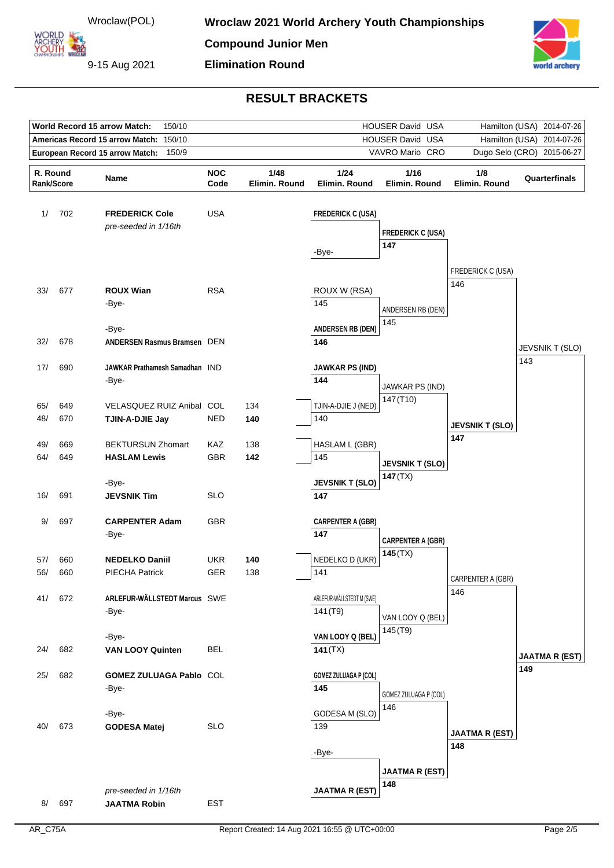

| <b>World Record 15 arrow Match:</b><br>150/10<br>HOUSER David USA<br>Hamilton (USA) |                                        |                                               |            |               |                              |                                   |                              | 2014-07-26                    |
|-------------------------------------------------------------------------------------|----------------------------------------|-----------------------------------------------|------------|---------------|------------------------------|-----------------------------------|------------------------------|-------------------------------|
|                                                                                     | Americas Record 15 arrow Match: 150/10 |                                               |            |               |                              | HOUSER David USA                  | Hamilton (USA)<br>2014-07-26 |                               |
| 150/9<br>VAVRO Mario CRO<br>European Record 15 arrow Match:                         |                                        |                                               |            |               |                              |                                   |                              | Dugo Selo (CRO) 2015-06-27    |
| R. Round                                                                            |                                        | Name                                          | <b>NOC</b> | 1/48          | 1/24                         | 1/16                              | 1/8                          | Quarterfinals                 |
| Rank/Score                                                                          |                                        |                                               | Code       | Elimin. Round | Elimin. Round                | Elimin. Round                     | Elimin. Round                |                               |
| 1/                                                                                  | 702                                    | <b>FREDERICK Cole</b><br>pre-seeded in 1/16th | <b>USA</b> |               | <b>FREDERICK C (USA)</b>     |                                   |                              |                               |
|                                                                                     |                                        |                                               |            |               |                              | <b>FREDERICK C (USA)</b>          |                              |                               |
|                                                                                     |                                        |                                               |            |               | -Bye-                        | 147                               |                              |                               |
|                                                                                     |                                        |                                               |            |               |                              |                                   | FREDERICK C (USA)            |                               |
|                                                                                     |                                        |                                               |            |               |                              |                                   | 146                          |                               |
| 33/                                                                                 | 677                                    | <b>ROUX Wian</b>                              | <b>RSA</b> |               | ROUX W (RSA)                 |                                   |                              |                               |
|                                                                                     |                                        | -Bye-                                         |            |               | 145                          | ANDERSEN RB (DEN)                 |                              |                               |
|                                                                                     |                                        | -Bye-                                         |            |               | <b>ANDERSEN RB (DEN)</b>     | 145                               |                              |                               |
| 32/                                                                                 | 678                                    | <b>ANDERSEN Rasmus Bramsen DEN</b>            |            |               | 146                          |                                   |                              |                               |
|                                                                                     |                                        |                                               |            |               |                              |                                   |                              | <b>JEVSNIK T (SLO)</b><br>143 |
| 17/                                                                                 | 690                                    | JAWKAR Prathamesh Samadhan IND                |            |               | <b>JAWKAR PS (IND)</b>       |                                   |                              |                               |
|                                                                                     |                                        | -Bye-                                         |            |               | 144                          | JAWKAR PS (IND)                   |                              |                               |
|                                                                                     |                                        |                                               |            |               |                              | 147 (T10)                         |                              |                               |
| 65/<br>48/                                                                          | 649<br>670                             | VELASQUEZ RUIZ Anibal COL                     | <b>NED</b> | 134<br>140    | TJIN-A-DJIE J (NED)<br>140   |                                   |                              |                               |
|                                                                                     |                                        | TJIN-A-DJIE Jay                               |            |               |                              |                                   | <b>JEVSNIK T (SLO)</b>       |                               |
| 49/                                                                                 | 669                                    | <b>BEKTURSUN Zhomart</b>                      | KAZ        | 138           | HASLAM L (GBR)               |                                   | 147                          |                               |
| 64/                                                                                 | 649                                    | <b>HASLAM Lewis</b>                           | <b>GBR</b> | 142           | 145                          |                                   |                              |                               |
|                                                                                     |                                        |                                               |            |               |                              | <b>JEVSNIK T (SLO)</b><br>147(TX) |                              |                               |
|                                                                                     |                                        | -Bye-                                         |            |               | <b>JEVSNIK T (SLO)</b>       |                                   |                              |                               |
| 16/                                                                                 | 691                                    | <b>JEVSNIK Tim</b>                            | <b>SLO</b> |               | 147                          |                                   |                              |                               |
| 9/                                                                                  | 697                                    | <b>CARPENTER Adam</b>                         | <b>GBR</b> |               | <b>CARPENTER A (GBR)</b>     |                                   |                              |                               |
|                                                                                     |                                        | -Bye-                                         |            |               | 147                          |                                   |                              |                               |
|                                                                                     |                                        |                                               |            |               |                              | <b>CARPENTER A (GBR)</b>          |                              |                               |
| 57/                                                                                 | 660                                    | <b>NEDELKO Daniil</b>                         | <b>UKR</b> | 140           | NEDELKO D (UKR)              | 145(TX)                           |                              |                               |
| 56/                                                                                 | 660                                    | <b>PIECHA Patrick</b>                         | <b>GER</b> | 138           | 141                          |                                   | CARPENTER A (GBR)            |                               |
|                                                                                     |                                        |                                               |            |               |                              |                                   | 146                          |                               |
| 41/                                                                                 | 672                                    | ARLEFUR-WÄLLSTEDT Marcus SWE                  |            |               | ARLEFUR-WÄLLSTEDT M (SWE)    |                                   |                              |                               |
|                                                                                     |                                        | -Bye-                                         |            |               | 141 (T9)                     | VAN LOOY Q (BEL)                  |                              |                               |
|                                                                                     |                                        | -Bye-                                         |            |               | VAN LOOY Q (BEL)             | 145(T9)                           |                              |                               |
| 24/                                                                                 | 682                                    | <b>VAN LOOY Quinten</b>                       | <b>BEL</b> |               | 141(TX)                      |                                   |                              |                               |
|                                                                                     |                                        |                                               |            |               |                              |                                   |                              | <b>JAATMA R (EST)</b>         |
| 25/                                                                                 | 682                                    | GOMEZ ZULUAGA Pablo COL                       |            |               | <b>GOMEZ ZULUAGA P (COL)</b> |                                   |                              | 149                           |
|                                                                                     |                                        | -Bye-                                         |            |               | 145                          | GOMEZ ZULUAGA P (COL)             |                              |                               |
|                                                                                     |                                        |                                               |            |               |                              | 146                               |                              |                               |
|                                                                                     |                                        | -Bye-                                         |            |               | GODESA M (SLO)               |                                   |                              |                               |
| 40/                                                                                 | 673                                    | <b>GODESA Matej</b>                           | <b>SLO</b> |               | 139                          |                                   | <b>JAATMA R (EST)</b>        |                               |
|                                                                                     |                                        |                                               |            |               | -Bye-                        |                                   | 148                          |                               |
|                                                                                     |                                        |                                               |            |               |                              |                                   |                              |                               |
|                                                                                     |                                        |                                               |            |               |                              | <b>JAATMA R (EST)</b>             |                              |                               |
|                                                                                     |                                        | pre-seeded in 1/16th                          |            |               | <b>JAATMA R (EST)</b>        | 148                               |                              |                               |
| 8/                                                                                  | 697                                    | <b>JAATMA Robin</b>                           | <b>EST</b> |               |                              |                                   |                              |                               |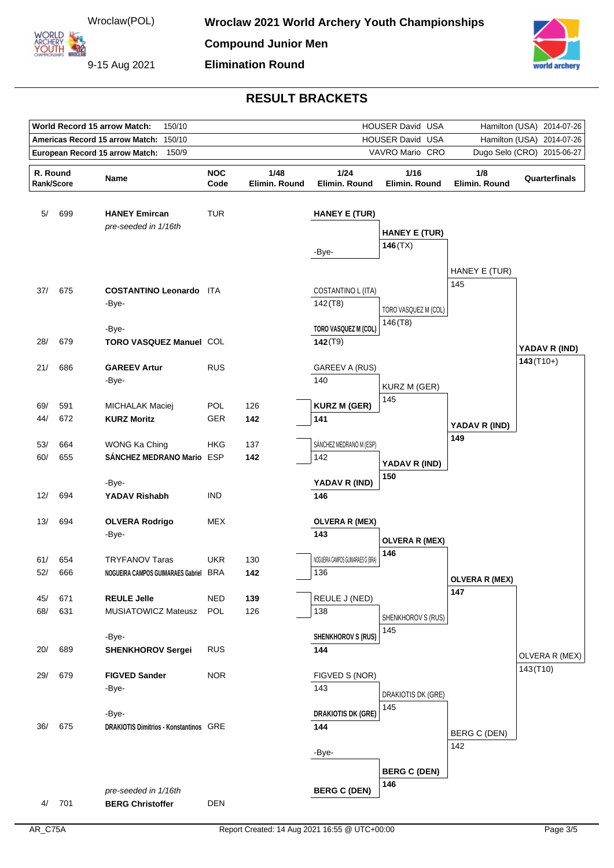

9-15 Aug 2021



| World Record 15 arrow Match:<br>150/10<br>HOUSER David USA<br>Hamilton (USA) 2014-07-26 |     |                                                  |            |               |                                   |                                 |                              |                            |
|-----------------------------------------------------------------------------------------|-----|--------------------------------------------------|------------|---------------|-----------------------------------|---------------------------------|------------------------------|----------------------------|
|                                                                                         |     | <b>Americas Record 15 arrow Match:</b><br>150/10 |            |               |                                   | HOUSER David USA                | Hamilton (USA)<br>2014-07-26 |                            |
| 150/9<br>VAVRO Mario CRO<br>European Record 15 arrow Match:                             |     |                                                  |            |               |                                   |                                 |                              | Dugo Selo (CRO) 2015-06-27 |
| R. Round                                                                                |     |                                                  | <b>NOC</b> | 1/48          | 1/24                              | 1/16                            | 1/8                          |                            |
| Rank/Score                                                                              |     | Name                                             | Code       | Elimin. Round | Elimin. Round                     | Elimin. Round                   | Elimin. Round                | Quarterfinals              |
|                                                                                         |     |                                                  |            |               |                                   |                                 |                              |                            |
| 5/                                                                                      | 699 | <b>HANEY Emircan</b>                             | <b>TUR</b> |               | <b>HANEY E (TUR)</b>              |                                 |                              |                            |
|                                                                                         |     | pre-seeded in 1/16th                             |            |               |                                   |                                 |                              |                            |
|                                                                                         |     |                                                  |            |               |                                   | <b>HANEY E (TUR)</b><br>146(TX) |                              |                            |
|                                                                                         |     |                                                  |            |               | -Bye-                             |                                 |                              |                            |
|                                                                                         |     |                                                  |            |               |                                   |                                 | HANEY E (TUR)                |                            |
|                                                                                         |     |                                                  |            |               |                                   |                                 | 145                          |                            |
| 37/                                                                                     | 675 | <b>COSTANTINO Leonardo ITA</b>                   |            |               | COSTANTINO L (ITA)                |                                 |                              |                            |
|                                                                                         |     | -Bye-                                            |            |               | 142(78)                           | TORO VASQUEZ M (COL)            |                              |                            |
|                                                                                         |     | -Bye-                                            |            |               | TORO VASQUEZ M (COL)              | 146(78)                         |                              |                            |
| 28/                                                                                     | 679 | TORO VASQUEZ Manuel COL                          |            |               | $142($ T9)                        |                                 |                              |                            |
|                                                                                         |     |                                                  |            |               |                                   |                                 |                              | YADAV R (IND)              |
| 21/                                                                                     | 686 | <b>GAREEV Artur</b>                              | <b>RUS</b> |               | <b>GAREEV A (RUS)</b>             |                                 |                              | $143(T10+)$                |
|                                                                                         |     | -Bye-                                            |            |               | 140                               | KURZ M (GER)                    |                              |                            |
|                                                                                         |     |                                                  |            |               |                                   | 145                             |                              |                            |
| 69/                                                                                     | 591 | <b>MICHALAK Maciej</b>                           | <b>POL</b> | 126           | <b>KURZ M (GER)</b>               |                                 |                              |                            |
| 44/                                                                                     | 672 | <b>KURZ Moritz</b>                               | <b>GER</b> | 142           | 141                               |                                 | YADAV R (IND)                |                            |
| 53/                                                                                     | 664 | WONG Ka Ching                                    | HKG        | 137           | SÁNCHEZ MEDRANO M (ESP)           |                                 | 149                          |                            |
| 60/                                                                                     | 655 | SÁNCHEZ MEDRANO Mario ESP                        |            | 142           | 142                               |                                 |                              |                            |
|                                                                                         |     |                                                  |            |               |                                   | YADAV R (IND)                   |                              |                            |
|                                                                                         |     | -Bye-                                            |            |               | YADAV R (IND)                     | 150                             |                              |                            |
| 12/                                                                                     | 694 | YADAV Rishabh                                    | <b>IND</b> |               | 146                               |                                 |                              |                            |
|                                                                                         |     |                                                  |            |               |                                   |                                 |                              |                            |
| 13/                                                                                     | 694 | <b>OLVERA Rodrigo</b><br>-Bye-                   | <b>MEX</b> |               | <b>OLVERA R (MEX)</b><br>143      |                                 |                              |                            |
|                                                                                         |     |                                                  |            |               |                                   | <b>OLVERA R (MEX)</b>           |                              |                            |
| 61/                                                                                     | 654 | <b>TRYFANOV Taras</b>                            | <b>UKR</b> | 130           | NOGUEIRA CAMPOS GUIMARAES G (BRA) | 146                             |                              |                            |
| 52/                                                                                     | 666 | NOGUEIRA CAMPOS GUIMARAES Gabriel BRA            |            | 142           | 136                               |                                 |                              |                            |
|                                                                                         |     |                                                  |            |               |                                   |                                 | <b>OLVERA R (MEX)</b><br>147 |                            |
| 45/                                                                                     | 671 | <b>REULE Jelle</b>                               | <b>NED</b> | 139           | REULE J (NED)                     |                                 |                              |                            |
| 68/                                                                                     | 631 | <b>MUSIATOWICZ Mateusz</b>                       | <b>POL</b> | 126           | 138                               | SHENKHOROV S (RUS)              |                              |                            |
|                                                                                         |     |                                                  |            |               |                                   | 145                             |                              |                            |
| 20/                                                                                     | 689 | -Bye-<br><b>SHENKHOROV Sergei</b>                | <b>RUS</b> |               | <b>SHENKHOROV S (RUS)</b><br>144  |                                 |                              |                            |
|                                                                                         |     |                                                  |            |               |                                   |                                 |                              | OLVERA R (MEX)             |
| 29/                                                                                     | 679 | <b>FIGVED Sander</b>                             | <b>NOR</b> |               | FIGVED S (NOR)                    |                                 |                              | 143(T10)                   |
|                                                                                         |     | -Bye-                                            |            |               | 143                               |                                 |                              |                            |
|                                                                                         |     |                                                  |            |               |                                   | DRAKIOTIS DK (GRE)<br>145       |                              |                            |
|                                                                                         |     | -Bye-                                            |            |               | <b>DRAKIOTIS DK (GRE)</b>         |                                 |                              |                            |
| 36/                                                                                     | 675 | <b>DRAKIOTIS Dimitrios - Konstantinos GRE</b>    |            |               | 144                               |                                 | BERG C (DEN)                 |                            |
|                                                                                         |     |                                                  |            |               |                                   |                                 | 142                          |                            |
|                                                                                         |     |                                                  |            |               | -Bye-                             |                                 |                              |                            |
|                                                                                         |     |                                                  |            |               |                                   | <b>BERG C (DEN)</b>             |                              |                            |
|                                                                                         |     | pre-seeded in 1/16th                             |            |               | <b>BERG C (DEN)</b>               | 146                             |                              |                            |
| 4/                                                                                      | 701 | <b>BERG Christoffer</b>                          | <b>DEN</b> |               |                                   |                                 |                              |                            |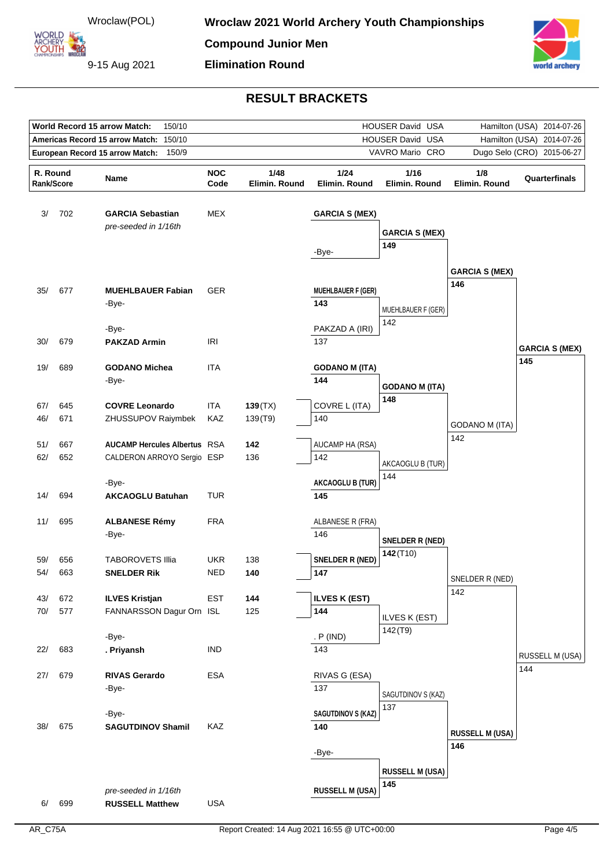9-15 Aug 2021



| <b>World Record 15 arrow Match:</b><br>150/10<br>HOUSER David USA<br>Hamilton (USA)<br>2014-07-26 |            |                                           |                    |                       |                                |                              |                            |                       |
|---------------------------------------------------------------------------------------------------|------------|-------------------------------------------|--------------------|-----------------------|--------------------------------|------------------------------|----------------------------|-----------------------|
|                                                                                                   |            | Americas Record 15 arrow Match:<br>150/10 |                    |                       | HOUSER David USA               | Hamilton (USA)<br>2014-07-26 |                            |                       |
|                                                                                                   |            | 150/9<br>European Record 15 arrow Match:  |                    |                       |                                | VAVRO Mario CRO              | Dugo Selo (CRO) 2015-06-27 |                       |
|                                                                                                   |            |                                           |                    |                       |                                |                              |                            |                       |
| R. Round                                                                                          | Rank/Score | Name                                      | <b>NOC</b><br>Code | 1/48<br>Elimin. Round | 1/24<br>Elimin. Round          | 1/16<br>Elimin. Round        | 1/8<br>Elimin. Round       | Quarterfinals         |
|                                                                                                   |            |                                           |                    |                       |                                |                              |                            |                       |
| 3/                                                                                                | 702        | <b>GARCIA Sebastian</b>                   | MEX                |                       | <b>GARCIA S (MEX)</b>          |                              |                            |                       |
|                                                                                                   |            | pre-seeded in 1/16th                      |                    |                       |                                |                              |                            |                       |
|                                                                                                   |            |                                           |                    |                       |                                | <b>GARCIA S (MEX)</b>        |                            |                       |
|                                                                                                   |            |                                           |                    |                       | -Bye-                          | 149                          |                            |                       |
|                                                                                                   |            |                                           |                    |                       |                                |                              | <b>GARCIA S (MEX)</b>      |                       |
|                                                                                                   |            |                                           |                    |                       |                                |                              | 146                        |                       |
| 35/                                                                                               | 677        | <b>MUEHLBAUER Fabian</b>                  | <b>GER</b>         |                       | <b>MUEHLBAUER F (GER)</b>      |                              |                            |                       |
|                                                                                                   |            | -Bye-                                     |                    |                       | 143                            | MUEHLBAUER F (GER)           |                            |                       |
|                                                                                                   |            |                                           |                    |                       |                                | 142                          |                            |                       |
|                                                                                                   |            | -Bye-                                     | <b>IRI</b>         |                       | PAKZAD A (IRI)                 |                              |                            |                       |
| 30/                                                                                               | 679        | <b>PAKZAD Armin</b>                       |                    |                       | 137                            |                              |                            | <b>GARCIA S (MEX)</b> |
| 19/                                                                                               | 689        | <b>GODANO Michea</b>                      | ITA                |                       | <b>GODANO M (ITA)</b>          |                              |                            | 145                   |
|                                                                                                   |            | -Bye-                                     |                    |                       | 144                            |                              |                            |                       |
|                                                                                                   |            |                                           |                    |                       |                                | <b>GODANO M (ITA)</b>        |                            |                       |
| 67/                                                                                               | 645        | <b>COVRE Leonardo</b>                     | ITA                | 139(TX)               | COVRE L (ITA)                  | 148                          |                            |                       |
| 46/                                                                                               | 671        | ZHUSSUPOV Raiymbek                        | KAZ                | 139(T9)               | 140                            |                              | <b>GODANO M (ITA)</b>      |                       |
|                                                                                                   |            |                                           |                    |                       |                                |                              | 142                        |                       |
| 51/                                                                                               | 667        | <b>AUCAMP Hercules Albertus RSA</b>       |                    | 142                   | AUCAMP HA (RSA)                |                              |                            |                       |
| 62/                                                                                               | 652        | CALDERON ARROYO Sergio ESP                |                    | 136                   | 142                            | AKCAOGLU B (TUR)             |                            |                       |
|                                                                                                   |            |                                           |                    |                       |                                | 144                          |                            |                       |
| 14/                                                                                               | 694        | -Bye-<br><b>AKCAOGLU Batuhan</b>          | TUR                |                       | <b>AKCAOGLU B (TUR)</b><br>145 |                              |                            |                       |
|                                                                                                   |            |                                           |                    |                       |                                |                              |                            |                       |
| 11/                                                                                               | 695        | <b>ALBANESE Rémy</b>                      | <b>FRA</b>         |                       | ALBANESE R (FRA)               |                              |                            |                       |
|                                                                                                   |            | -Bye-                                     |                    |                       | 146                            |                              |                            |                       |
|                                                                                                   |            |                                           |                    |                       |                                | SNELDER R (NED)              |                            |                       |
| 59/                                                                                               | 656        | <b>TABOROVETS Illia</b>                   | <b>UKR</b>         | 138                   | SNELDER R (NED)                | $142($ T10)                  |                            |                       |
| 54/                                                                                               | 663        | <b>SNELDER Rik</b>                        | <b>NED</b>         | 140                   | 147                            |                              | SNELDER R (NED)            |                       |
|                                                                                                   |            |                                           |                    |                       |                                |                              | 142                        |                       |
| 43/                                                                                               | 672        | <b>ILVES Kristjan</b>                     | <b>EST</b>         | 144                   | <b>ILVES K (EST)</b>           |                              |                            |                       |
| 70/                                                                                               | 577        | FANNARSSON Dagur Orn ISL                  |                    | 125                   | 144                            | ILVES K (EST)                |                            |                       |
|                                                                                                   |            | -Bye-                                     |                    |                       | . P (IND)                      | 142(T9)                      |                            |                       |
| 22/                                                                                               | 683        | . Priyansh                                | <b>IND</b>         |                       | 143                            |                              |                            |                       |
|                                                                                                   |            |                                           |                    |                       |                                |                              |                            | RUSSELL M (USA)       |
| 27/                                                                                               | 679        | <b>RIVAS Gerardo</b>                      | <b>ESA</b>         |                       | RIVAS G (ESA)                  |                              |                            | 144                   |
|                                                                                                   |            | -Bye-                                     |                    |                       | 137                            | SAGUTDINOV S (KAZ)           |                            |                       |
|                                                                                                   |            |                                           |                    |                       |                                | 137                          |                            |                       |
|                                                                                                   |            | -Bye-                                     |                    |                       | <b>SAGUTDINOV S (KAZ)</b>      |                              |                            |                       |
| 38/                                                                                               | 675        | <b>SAGUTDINOV Shamil</b>                  | KAZ                |                       | 140                            |                              | <b>RUSSELL M (USA)</b>     |                       |
|                                                                                                   |            |                                           |                    |                       |                                |                              | 146                        |                       |
|                                                                                                   |            |                                           |                    |                       | -Bye-                          |                              |                            |                       |
|                                                                                                   |            |                                           |                    |                       |                                | <b>RUSSELL M (USA)</b>       |                            |                       |
|                                                                                                   |            | pre-seeded in 1/16th                      |                    |                       | <b>RUSSELL M (USA)</b>         | 145                          |                            |                       |
| 6/                                                                                                | 699        | <b>RUSSELL Matthew</b>                    | <b>USA</b>         |                       |                                |                              |                            |                       |